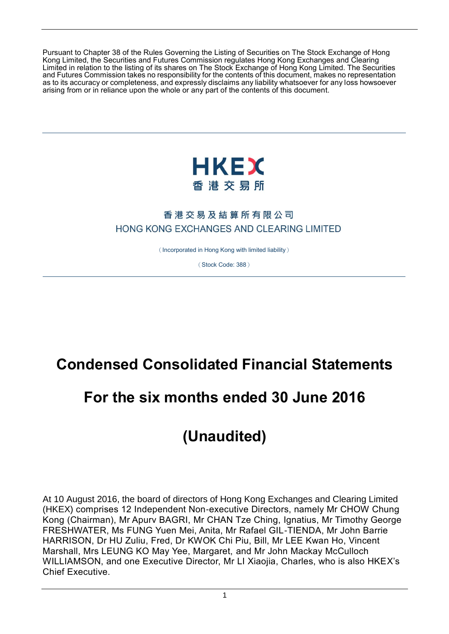Pursuant to Chapter 38 of the Rules Governing the Listing of Securities on The Stock Exchange of Hong Kong Limited, the Securities and Futures Commission regulates Hong Kong Exchanges and Clearing Limited in relation to the listing of its shares on The Stock Exchange of Hong Kong Limited. The Securities and Futures Commission takes no responsibility for the contents of this document, makes no representation as to its accuracy or completeness, and expressly disclaims any liability whatsoever for any loss howsoever arising from or in reliance upon the whole or any part of the contents of this document.



# 香港交易及結算所有限公司 HONG KONG EXCHANGES AND CLEARING LIMITED

(Incorporated in Hong Kong with limited liability)

(Stock Code: 388)

# **Condensed Consolidated Financial Statements**

# **For the six months ended 30 June 2016**

# **(Unaudited)**

At 10 August 2016, the board of directors of Hong Kong Exchanges and Clearing Limited (HKEX) comprises 12 Independent Non-executive Directors, namely Mr CHOW Chung Kong (Chairman), Mr Apurv BAGRI, Mr CHAN Tze Ching, Ignatius, Mr Timothy George FRESHWATER, Ms FUNG Yuen Mei, Anita, Mr Rafael GIL-TIENDA, Mr John Barrie HARRISON, Dr HU Zuliu, Fred, Dr KWOK Chi Piu, Bill, Mr LEE Kwan Ho, Vincent Marshall, Mrs LEUNG KO May Yee, Margaret, and Mr John Mackay McCulloch WILLIAMSON, and one Executive Director, Mr LI Xiaojia, Charles, who is also HKEX's Chief Executive.

1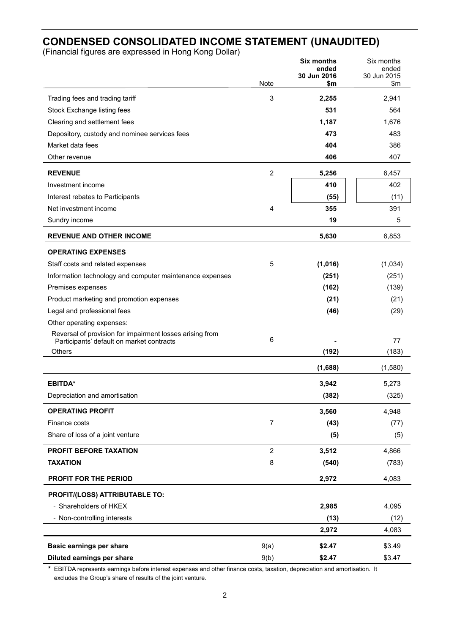# **CONDENSED CONSOLIDATED INCOME STATEMENT (UNAUDITED)**

(Financial figures are expressed in Hong Kong Dollar)

|                                                                                                       |                  | <b>Six months</b><br>ended | Six months<br>ended |
|-------------------------------------------------------------------------------------------------------|------------------|----------------------------|---------------------|
|                                                                                                       | Note             | 30 Jun 2016<br>\$m         | 30 Jun 2015<br>\$m  |
|                                                                                                       |                  |                            |                     |
| Trading fees and trading tariff                                                                       | 3                | 2,255                      | 2,941               |
| Stock Exchange listing fees                                                                           |                  | 531                        | 564                 |
| Clearing and settlement fees                                                                          |                  | 1,187                      | 1,676               |
| Depository, custody and nominee services fees                                                         |                  | 473                        | 483                 |
| Market data fees<br>Other revenue                                                                     |                  | 404                        | 386<br>407          |
|                                                                                                       |                  | 406                        |                     |
| <b>REVENUE</b>                                                                                        | $\overline{2}$   | 5,256                      | 6,457               |
| Investment income                                                                                     |                  | 410                        | 402                 |
| Interest rebates to Participants                                                                      |                  | (55)                       | (11)                |
| Net investment income                                                                                 | 4                | 355                        | 391                 |
| Sundry income                                                                                         |                  | 19                         | 5                   |
| <b>REVENUE AND OTHER INCOME</b>                                                                       |                  | 5,630                      | 6,853               |
| <b>OPERATING EXPENSES</b>                                                                             |                  |                            |                     |
| Staff costs and related expenses                                                                      | 5                | (1,016)                    | (1,034)             |
| Information technology and computer maintenance expenses                                              |                  | (251)                      | (251)               |
| Premises expenses                                                                                     |                  | (162)                      | (139)               |
| Product marketing and promotion expenses                                                              |                  | (21)                       | (21)                |
| Legal and professional fees                                                                           |                  | (46)                       | (29)                |
| Other operating expenses:                                                                             |                  |                            |                     |
| Reversal of provision for impairment losses arising from<br>Participants' default on market contracts | 6                |                            | 77                  |
| <b>Others</b>                                                                                         |                  | (192)                      | (183)               |
|                                                                                                       |                  | (1,688)                    | (1,580)             |
| <b>EBITDA*</b>                                                                                        |                  | 3,942                      | 5,273               |
| Depreciation and amortisation                                                                         |                  | (382)                      | (325)               |
| <b>OPERATING PROFIT</b>                                                                               |                  | 3,560                      | 4,948               |
| Finance costs                                                                                         | $\boldsymbol{7}$ | (43)                       | (77)                |
| Share of loss of a joint venture                                                                      |                  | (5)                        | (5)                 |
| PROFIT BEFORE TAXATION                                                                                | $\overline{2}$   | 3,512                      | 4,866               |
| <b>TAXATION</b>                                                                                       | 8                | (540)                      | (783)               |
| PROFIT FOR THE PERIOD                                                                                 |                  |                            | 4,083               |
|                                                                                                       |                  | 2,972                      |                     |
| PROFIT/(LOSS) ATTRIBUTABLE TO:                                                                        |                  |                            |                     |
| - Shareholders of HKEX                                                                                |                  | 2,985                      | 4,095               |
| - Non-controlling interests                                                                           |                  | (13)                       | (12)                |
|                                                                                                       |                  | 2,972                      | 4,083               |
| <b>Basic earnings per share</b>                                                                       | 9(a)             | \$2.47                     | \$3.49              |
| Diluted earnings per share                                                                            | 9(b)             | \$2.47                     | \$3.47              |

**\*** EBITDA represents earnings before interest expenses and other finance costs, taxation, depreciation and amortisation. It excludes the Group's share of results of the joint venture.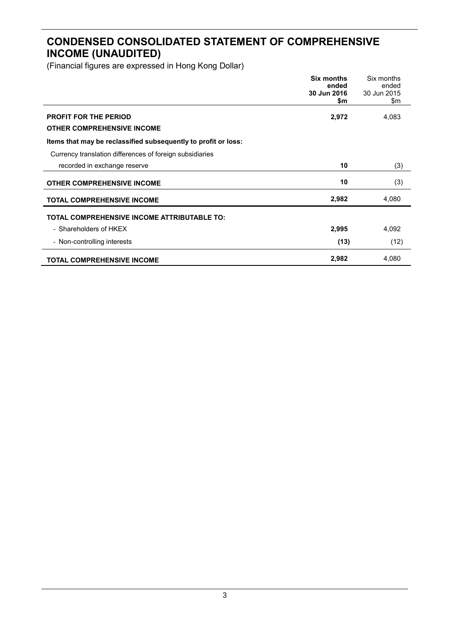# **CONDENSED CONSOLIDATED STATEMENT OF COMPREHENSIVE INCOME (UNAUDITED)**

|                                                                | Six months<br>ended<br>30 Jun 2016 | Six months<br>ended<br>30 Jun 2015 |
|----------------------------------------------------------------|------------------------------------|------------------------------------|
|                                                                | \$m                                | \$m                                |
| <b>PROFIT FOR THE PERIOD</b>                                   | 2,972                              | 4,083                              |
| <b>OTHER COMPREHENSIVE INCOME</b>                              |                                    |                                    |
| Items that may be reclassified subsequently to profit or loss: |                                    |                                    |
| Currency translation differences of foreign subsidiaries       |                                    |                                    |
| recorded in exchange reserve                                   | 10                                 | (3)                                |
| <b>OTHER COMPREHENSIVE INCOME</b>                              | 10                                 | (3)                                |
| <b>TOTAL COMPREHENSIVE INCOME</b>                              | 2,982                              | 4,080                              |
| <b>TOTAL COMPREHENSIVE INCOME ATTRIBUTABLE TO:</b>             |                                    |                                    |
| - Shareholders of HKEX                                         | 2,995                              | 4,092                              |
| - Non-controlling interests                                    | (13)                               | (12)                               |
| <b>TOTAL COMPREHENSIVE INCOME</b>                              | 2,982                              | 4,080                              |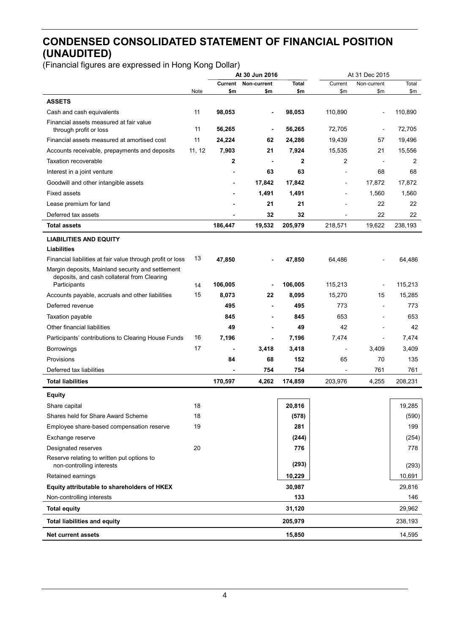# **CONDENSED CONSOLIDATED STATEMENT OF FINANCIAL POSITION (UNAUDITED)**

|                                                             |        | At 30 Jun 2016 |                | At 31 Dec 2015 |         |                |         |
|-------------------------------------------------------------|--------|----------------|----------------|----------------|---------|----------------|---------|
|                                                             |        | Current        | Non-current    | Total          | Current | Non-current    | Total   |
| <b>ASSETS</b>                                               | Note   | \$m            | \$m            | \$m            | \$m     | \$m            | \$m\$   |
| Cash and cash equivalents                                   | 11     | 98,053         | $\blacksquare$ | 98,053         | 110,890 | $\overline{a}$ | 110,890 |
| Financial assets measured at fair value                     |        |                |                |                |         |                |         |
| through profit or loss                                      | 11     | 56,265         |                | 56,265         | 72,705  | $\overline{a}$ | 72,705  |
| Financial assets measured at amortised cost                 | 11     | 24,224         | 62             | 24,286         | 19,439  | 57             | 19,496  |
| Accounts receivable, prepayments and deposits               | 11, 12 | 7,903          | 21             | 7,924          | 15,535  | 21             | 15,556  |
| <b>Taxation recoverable</b>                                 |        | 2              |                | 2              | 2       |                | 2       |
| Interest in a joint venture                                 |        |                | 63             | 63             |         | 68             | 68      |
| Goodwill and other intangible assets                        |        |                | 17,842         | 17,842         |         | 17,872         | 17,872  |
| Fixed assets                                                |        |                | 1,491          | 1,491          |         | 1,560          | 1,560   |
| Lease premium for land                                      |        |                | 21             | 21             |         | 22             | 22      |
| Deferred tax assets                                         |        |                | 32             | 32             |         | 22             | 22      |
| <b>Total assets</b>                                         |        | 186,447        | 19,532         | 205,979        | 218,571 | 19,622         | 238,193 |
| <b>LIABILITIES AND EQUITY</b>                               |        |                |                |                |         |                |         |
| Liabilities                                                 |        |                |                |                |         |                |         |
| Financial liabilities at fair value through profit or loss  | 13     | 47,850         |                | 47,850         | 64,486  |                | 64,486  |
| Margin deposits, Mainland security and settlement           |        |                |                |                |         |                |         |
| deposits, and cash collateral from Clearing<br>Participants | 14     | 106,005        |                | 106,005        | 115,213 | $\overline{a}$ | 115,213 |
| Accounts payable, accruals and other liabilities            | 15     | 8,073          | 22             | 8,095          | 15,270  | 15             | 15,285  |
| Deferred revenue                                            |        | 495            |                | 495            | 773     | $\overline{a}$ | 773     |
| Taxation payable                                            |        | 845            | $\blacksquare$ | 845            | 653     | $\blacksquare$ | 653     |
| Other financial liabilities                                 |        | 49             |                | 49             | 42      |                | 42      |
| Participants' contributions to Clearing House Funds         | 16     | 7,196          | $\blacksquare$ | 7,196          | 7,474   | $\blacksquare$ | 7,474   |
| <b>Borrowings</b>                                           | 17     |                | 3,418          | 3,418          |         | 3,409          | 3,409   |
| Provisions                                                  |        | 84             | 68             | 152            | 65      | 70             | 135     |
| Deferred tax liabilities                                    |        |                | 754            | 754            |         | 761            | 761     |
| <b>Total liabilities</b>                                    |        | 170,597        | 4,262          | 174,859        | 203,976 | 4,255          | 208,231 |
| <b>Equity</b>                                               |        |                |                |                |         |                |         |
| Share capital                                               | 18     |                |                | 20,816         |         |                | 19,285  |
| Shares held for Share Award Scheme                          | 18     |                |                | (578)          |         |                | (590)   |
| Employee share-based compensation reserve                   | 19     |                |                | 281            |         |                | 199     |
| Exchange reserve                                            |        |                |                | (244)          |         |                | (254)   |
| Designated reserves                                         | 20     |                |                | 776            |         |                | 778     |
| Reserve relating to written put options to                  |        |                |                |                |         |                |         |
| non-controlling interests                                   |        |                |                | (293)          |         |                | (293)   |
| Retained earnings                                           |        |                |                | 10,229         |         |                | 10,691  |
| Equity attributable to shareholders of HKEX                 |        |                |                | 30,987         |         |                | 29,816  |
| Non-controlling interests                                   |        |                |                | 133            |         |                | 146     |
| <b>Total equity</b>                                         |        |                |                | 31,120         |         |                | 29,962  |
| <b>Total liabilities and equity</b>                         |        |                |                | 205,979        |         |                | 238,193 |
| <b>Net current assets</b>                                   |        |                |                | 15,850         |         |                | 14,595  |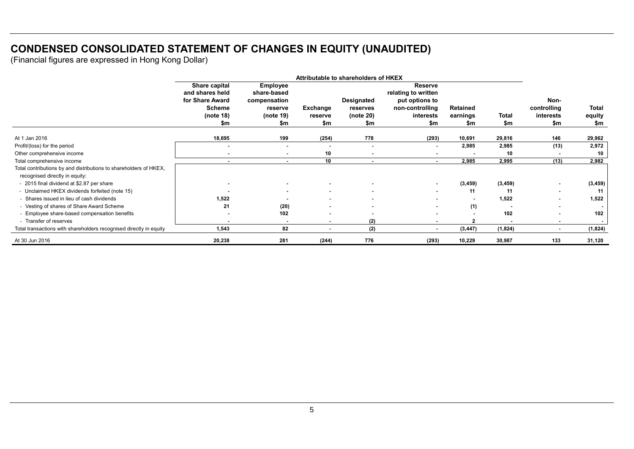# **CONDENSED CONSOLIDATED STATEMENT OF CHANGES IN EQUITY (UNAUDITED)**

|                                                                    | Attributable to shareholders of HKEX |                          |                 |                |                          |                          |              |                          |                |
|--------------------------------------------------------------------|--------------------------------------|--------------------------|-----------------|----------------|--------------------------|--------------------------|--------------|--------------------------|----------------|
|                                                                    | Share capital                        | Employee                 |                 |                | Reserve                  |                          |              |                          |                |
|                                                                    | and shares held                      | share-based              |                 |                | relating to written      |                          |              |                          |                |
|                                                                    | for Share Award                      | compensation             |                 | Designated     | put options to           |                          |              | Non-                     |                |
|                                                                    | <b>Scheme</b>                        | reserve                  | <b>Exchange</b> | reserves       | non-controlling          | Retained                 |              | controlling              | Total          |
|                                                                    | (note $18$ )                         | (note 19)                | reserve         | (note 20)      | interests                | earnings                 | <b>Total</b> | interests                | equity         |
|                                                                    | \$m                                  | \$m                      | \$m             | \$m            | \$m                      | \$m                      | \$m          | \$m                      | \$m            |
| At 1 Jan 2016                                                      | 18,695                               | 199                      | (254)           | 778            | (293)                    | 10,691                   | 29,816       | 146                      | 29,962         |
| Profit/(loss) for the period                                       | $\blacksquare$                       | $\overline{\phantom{0}}$ | ۰               | $\sim$         | $\overline{\phantom{a}}$ | 2,985                    | 2,985        | (13)                     | 2,972          |
| Other comprehensive income                                         | $\,$                                 | $\blacksquare$           | 10              | $\blacksquare$ |                          |                          | 10           |                          | 10             |
| Total comprehensive income                                         | $\sim$                               | $\sim$                   | 10              | $\sim$         | $\sim$                   | 2,985                    | 2,995        | (13)                     | 2,982          |
| Total contributions by and distributions to shareholders of HKEX,  |                                      |                          |                 |                |                          |                          |              |                          |                |
| recognised directly in equity:                                     |                                      |                          |                 |                |                          |                          |              |                          |                |
| - 2015 final dividend at \$2.87 per share                          |                                      |                          |                 |                | $\sim$                   | (3, 459)                 | (3, 459)     |                          | (3, 459)       |
| - Unclaimed HKEX dividends forfeited (note 15)                     |                                      | $\blacksquare$           |                 |                | $\sim$                   | 11                       | 11           | $\overline{\phantom{a}}$ | 11             |
| - Shares issued in lieu of cash dividends                          | 1,522                                |                          | ۰.              |                | $\blacksquare$           | $\overline{\phantom{a}}$ | 1,522        |                          | 1,522          |
| - Vesting of shares of Share Award Scheme                          | 21                                   | (20)                     |                 | $\blacksquare$ | $\overline{\phantom{a}}$ | (1)                      |              | $\blacksquare$           | $\blacksquare$ |
| - Employee share-based compensation benefits                       |                                      | 102                      |                 |                | $\sim$                   | $\overline{\phantom{a}}$ | 102          |                          | 102            |
| - Transfer of reserves                                             | $\blacksquare$                       | $\blacksquare$           | ۰.              | (2)            | $\sim$                   | $\mathbf{2}$             |              | $\overline{\phantom{a}}$ | $\sim$         |
| Total transactions with shareholders recognised directly in equity | 1,543                                | 82                       | ۰.              | (2)            | $\sim$                   | (3, 447)                 | (1,824)      | $\blacksquare$           | (1,824)        |
| At 30 Jun 2016                                                     | 20,238                               | 281                      | (244)           | 776            | (293)                    | 10,229                   | 30,987       | 133                      | 31,120         |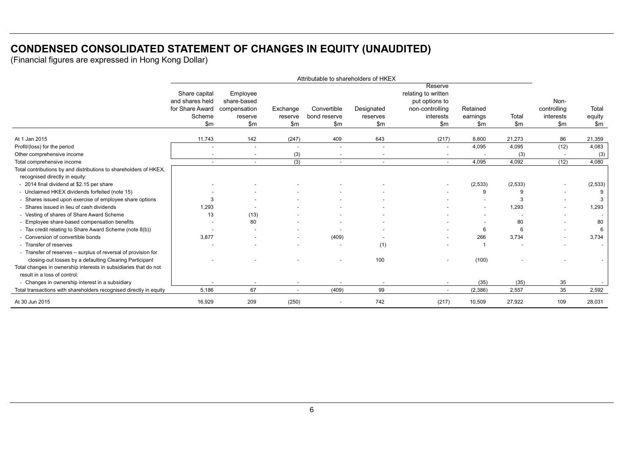# **CONDENSED CONSOLIDATED STATEMENT OF CHANGES IN EQUITY (UNAUDITED)**

|                                                                    | Attributable to shareholders of HKEX |                          |              |                          |                          |                                       |          |         |             |               |
|--------------------------------------------------------------------|--------------------------------------|--------------------------|--------------|--------------------------|--------------------------|---------------------------------------|----------|---------|-------------|---------------|
|                                                                    |                                      |                          |              |                          |                          | Reserve                               |          |         |             |               |
|                                                                    | Share capital<br>and shares held     | Employee<br>share-based  |              |                          |                          | relating to written<br>put options to |          |         | Non-        |               |
|                                                                    | for Share Award compensation         |                          | Exchange     | Convertible              | Designated               | non-controlling                       | Retained |         | controlling | Total         |
|                                                                    | Scheme                               | reserve                  | reserve      | bond reserve             | reserves                 | interests                             | earnings | Total   | interests   | equity        |
|                                                                    | \$m\$                                | \$m\$                    | \$m\$        | \$m\$                    | \$m\$                    | \$m\$                                 | \$m      | \$m\$   | \$m\$       | $\mathsf{Sm}$ |
| At 1 Jan 2015                                                      | 11,743                               | 142                      | (247)        | 409                      | 643                      | (217)                                 | 8,800    | 21,273  | 86          | 21,359        |
| Profit/(loss) for the period                                       |                                      | $\overline{\phantom{a}}$ |              | $\overline{\phantom{a}}$ | $\overline{\phantom{a}}$ | $\sim$                                | 4,095    | 4,095   | (12)        | 4,083         |
| Other comprehensive income                                         |                                      |                          | (3)          |                          |                          |                                       |          | (3)     |             | (3)           |
| Total comprehensive income                                         | $\sim$                               | $\sim$                   | (3)          | $\sim$                   | $\sim$                   | $\sim$                                | 4,095    | 4,092   | (12)        | 4,080         |
| Total contributions by and distributions to shareholders of HKEX,  |                                      |                          |              |                          |                          |                                       |          |         |             |               |
| recognised directly in equity:                                     |                                      |                          |              |                          |                          |                                       |          |         |             |               |
| - 2014 final dividend at \$2.15 per share                          |                                      |                          |              |                          |                          |                                       | (2,533)  | (2,533) |             | (2,533)       |
| - Unclaimed HKEX dividends forfeited (note 15)                     |                                      |                          |              |                          |                          |                                       | 9        |         |             | 9             |
| - Shares issued upon exercise of employee share options            | 3                                    |                          |              |                          |                          |                                       |          | 3       |             | 3             |
| - Shares issued in lieu of cash dividends                          | 1,293                                |                          |              |                          |                          |                                       |          | 1,293   |             | 1,293         |
| - Vesting of shares of Share Award Scheme                          | 13                                   | (13)                     |              |                          |                          |                                       |          |         |             |               |
| - Employee share-based compensation benefits                       |                                      | 80                       |              |                          |                          |                                       |          | 80      |             | 80            |
| - Tax credit relating to Share Award Scheme (note 8(b))            |                                      |                          |              |                          |                          |                                       | 6        | 6       |             | 6             |
| - Conversion of convertible bonds                                  | 3,877                                |                          |              | (409)                    |                          |                                       | 266      | 3,734   |             | 3,734         |
| - Transfer of reserves                                             |                                      |                          |              |                          | (1)                      |                                       |          |         |             | $\sim$        |
| - Transfer of reserves - surplus of reversal of provision for      |                                      |                          |              |                          |                          |                                       |          |         |             |               |
| closing-out losses by a defaulting Clearing Participant            |                                      |                          |              |                          | 100                      |                                       | (100)    |         |             |               |
| Total changes in ownership interests in subsidiaries that do not   |                                      |                          |              |                          |                          |                                       |          |         |             |               |
| result in a loss of control:                                       |                                      |                          |              |                          |                          |                                       |          |         |             |               |
| - Changes in ownership interest in a subsidiary                    |                                      | $\overline{\phantom{a}}$ |              |                          | $\overline{\phantom{a}}$ | $\sim$                                | (35)     | (35)    | 35          | $\sim$        |
| Total transactions with shareholders recognised directly in equity | 5,186                                | 67                       | $\mathbf{r}$ | (409)                    | 99                       |                                       | (2,386)  | 2,557   | 35          | 2,592         |
| At 30 Jun 2015                                                     | 16,929                               | 209                      | (250)        | ٠                        | 742                      | (217)                                 | 10,509   | 27,922  | 109         | 28,031        |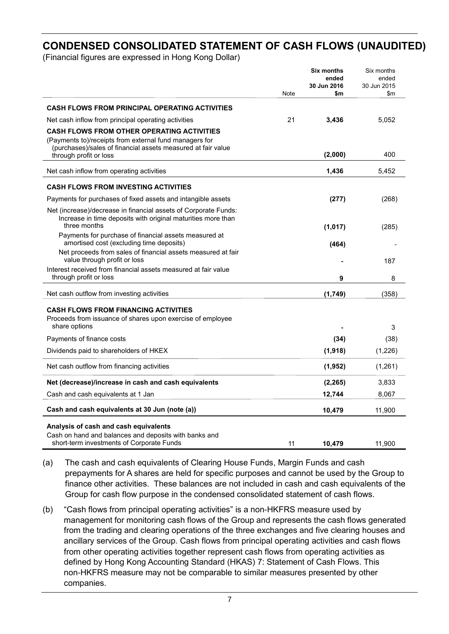# **CONDENSED CONSOLIDATED STATEMENT OF CASH FLOWS (UNAUDITED)**

(Financial figures are expressed in Hong Kong Dollar)

|                                                                                                                                                                                                       | Note | <b>Six months</b><br>ended<br>30 Jun 2016<br>\$m | Six months<br>ended<br>30 Jun 2015<br>\$m |
|-------------------------------------------------------------------------------------------------------------------------------------------------------------------------------------------------------|------|--------------------------------------------------|-------------------------------------------|
| <b>CASH FLOWS FROM PRINCIPAL OPERATING ACTIVITIES</b>                                                                                                                                                 |      |                                                  |                                           |
|                                                                                                                                                                                                       |      |                                                  |                                           |
| Net cash inflow from principal operating activities                                                                                                                                                   | 21   | 3,436                                            | 5,052                                     |
| <b>CASH FLOWS FROM OTHER OPERATING ACTIVITIES</b><br>(Payments to)/receipts from external fund managers for<br>(purchases)/sales of financial assets measured at fair value<br>through profit or loss |      | (2,000)                                          | 400                                       |
|                                                                                                                                                                                                       |      |                                                  |                                           |
| Net cash inflow from operating activities                                                                                                                                                             |      | 1,436                                            | 5,452                                     |
| <b>CASH FLOWS FROM INVESTING ACTIVITIES</b>                                                                                                                                                           |      |                                                  |                                           |
| Payments for purchases of fixed assets and intangible assets                                                                                                                                          |      | (277)                                            | (268)                                     |
| Net (increase)/decrease in financial assets of Corporate Funds:<br>Increase in time deposits with original maturities more than<br>three months                                                       |      | (1,017)                                          | (285)                                     |
| Payments for purchase of financial assets measured at                                                                                                                                                 |      |                                                  |                                           |
| amortised cost (excluding time deposits)                                                                                                                                                              |      | (464)                                            |                                           |
| Net proceeds from sales of financial assets measured at fair<br>value through profit or loss                                                                                                          |      |                                                  | 187                                       |
| Interest received from financial assets measured at fair value<br>through profit or loss                                                                                                              |      | 9                                                | 8                                         |
|                                                                                                                                                                                                       |      |                                                  |                                           |
| Net cash outflow from investing activities                                                                                                                                                            |      | (1,749)                                          | (358)                                     |
| <b>CASH FLOWS FROM FINANCING ACTIVITIES</b>                                                                                                                                                           |      |                                                  |                                           |
| Proceeds from issuance of shares upon exercise of employee<br>share options                                                                                                                           |      |                                                  | 3                                         |
| Payments of finance costs                                                                                                                                                                             |      | (34)                                             | (38)                                      |
| Dividends paid to shareholders of HKEX                                                                                                                                                                |      | (1, 918)                                         | (1,226)                                   |
|                                                                                                                                                                                                       |      |                                                  |                                           |
| Net cash outflow from financing activities                                                                                                                                                            |      | (1, 952)                                         | (1,261)                                   |
| Net (decrease)/increase in cash and cash equivalents                                                                                                                                                  |      | (2, 265)                                         | 3,833                                     |
| Cash and cash equivalents at 1 Jan                                                                                                                                                                    |      | 12,744                                           | 8,067                                     |
| Cash and cash equivalents at 30 Jun (note (a))                                                                                                                                                        |      | 10,479                                           | 11,900                                    |
| Analysis of cash and cash equivalents<br>Cash on hand and balances and deposits with banks and<br>short-term investments of Corporate Funds                                                           | 11   | 10.479                                           | 11.900                                    |

(a) The cash and cash equivalents of Clearing House Funds, Margin Funds and cash prepayments for A shares are held for specific purposes and cannot be used by the Group to finance other activities. These balances are not included in cash and cash equivalents of the Group for cash flow purpose in the condensed consolidated statement of cash flows.

(b) "Cash flows from principal operating activities" is a non-HKFRS measure used by management for monitoring cash flows of the Group and represents the cash flows generated from the trading and clearing operations of the three exchanges and five clearing houses and ancillary services of the Group. Cash flows from principal operating activities and cash flows from other operating activities together represent cash flows from operating activities as defined by Hong Kong Accounting Standard (HKAS) 7: Statement of Cash Flows. This non-HKFRS measure may not be comparable to similar measures presented by other companies.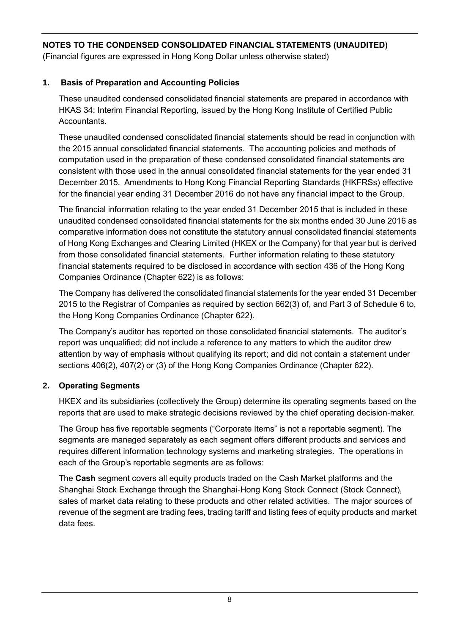(Financial figures are expressed in Hong Kong Dollar unless otherwise stated)

# **1. Basis of Preparation and Accounting Policies**

These unaudited condensed consolidated financial statements are prepared in accordance with HKAS 34: Interim Financial Reporting, issued by the Hong Kong Institute of Certified Public Accountants.

These unaudited condensed consolidated financial statements should be read in conjunction with the 2015 annual consolidated financial statements. The accounting policies and methods of computation used in the preparation of these condensed consolidated financial statements are consistent with those used in the annual consolidated financial statements for the year ended 31 December 2015. Amendments to Hong Kong Financial Reporting Standards (HKFRSs) effective for the financial year ending 31 December 2016 do not have any financial impact to the Group.

The financial information relating to the year ended 31 December 2015 that is included in these unaudited condensed consolidated financial statements for the six months ended 30 June 2016 as comparative information does not constitute the statutory annual consolidated financial statements of Hong Kong Exchanges and Clearing Limited (HKEX or the Company) for that year but is derived from those consolidated financial statements. Further information relating to these statutory financial statements required to be disclosed in accordance with section 436 of the Hong Kong Companies Ordinance (Chapter 622) is as follows:

The Company has delivered the consolidated financial statements for the year ended 31 December 2015 to the Registrar of Companies as required by section 662(3) of, and Part 3 of Schedule 6 to, the Hong Kong Companies Ordinance (Chapter 622).

The Company's auditor has reported on those consolidated financial statements. The auditor's report was unqualified; did not include a reference to any matters to which the auditor drew attention by way of emphasis without qualifying its report; and did not contain a statement under sections 406(2), 407(2) or (3) of the Hong Kong Companies Ordinance (Chapter 622).

# **2. Operating Segments**

HKEX and its subsidiaries (collectively the Group) determine its operating segments based on the reports that are used to make strategic decisions reviewed by the chief operating decision-maker.

The Group has five reportable segments ("Corporate Items" is not a reportable segment). The segments are managed separately as each segment offers different products and services and requires different information technology systems and marketing strategies. The operations in each of the Group's reportable segments are as follows:

The **Cash** segment covers all equity products traded on the Cash Market platforms and the Shanghai Stock Exchange through the Shanghai-Hong Kong Stock Connect (Stock Connect), sales of market data relating to these products and other related activities. The major sources of revenue of the segment are trading fees, trading tariff and listing fees of equity products and market data fees.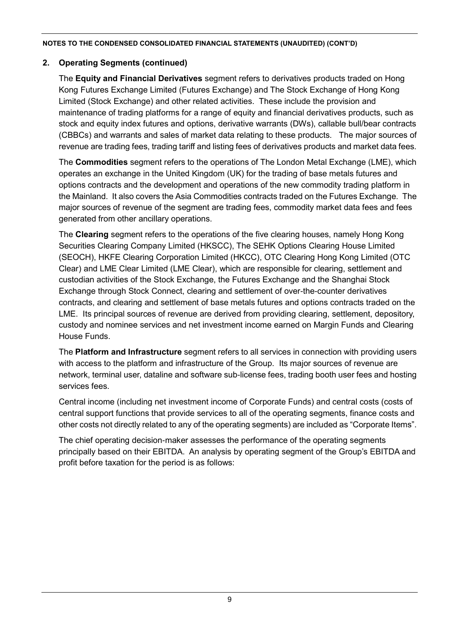## **2. Operating Segments (continued)**

The **Equity and Financial Derivatives** segment refers to derivatives products traded on Hong Kong Futures Exchange Limited (Futures Exchange) and The Stock Exchange of Hong Kong Limited (Stock Exchange) and other related activities. These include the provision and maintenance of trading platforms for a range of equity and financial derivatives products, such as stock and equity index futures and options, derivative warrants (DWs), callable bull/bear contracts (CBBCs) and warrants and sales of market data relating to these products. The major sources of revenue are trading fees, trading tariff and listing fees of derivatives products and market data fees.

The **Commodities** segment refers to the operations of The London Metal Exchange (LME), which operates an exchange in the United Kingdom (UK) for the trading of base metals futures and options contracts and the development and operations of the new commodity trading platform in the Mainland. It also covers the Asia Commodities contracts traded on the Futures Exchange. The major sources of revenue of the segment are trading fees, commodity market data fees and fees generated from other ancillary operations.

The **Clearing** segment refers to the operations of the five clearing houses, namely Hong Kong Securities Clearing Company Limited (HKSCC), The SEHK Options Clearing House Limited (SEOCH), HKFE Clearing Corporation Limited (HKCC), OTC Clearing Hong Kong Limited (OTC Clear) and LME Clear Limited (LME Clear), which are responsible for clearing, settlement and custodian activities of the Stock Exchange, the Futures Exchange and the Shanghai Stock Exchange through Stock Connect, clearing and settlement of over-the-counter derivatives contracts, and clearing and settlement of base metals futures and options contracts traded on the LME. Its principal sources of revenue are derived from providing clearing, settlement, depository, custody and nominee services and net investment income earned on Margin Funds and Clearing House Funds.

The **Platform and Infrastructure** segment refers to all services in connection with providing users with access to the platform and infrastructure of the Group. Its major sources of revenue are network, terminal user, dataline and software sub-license fees, trading booth user fees and hosting services fees.

Central income (including net investment income of Corporate Funds) and central costs (costs of central support functions that provide services to all of the operating segments, finance costs and other costs not directly related to any of the operating segments) are included as "Corporate Items".

The chief operating decision-maker assesses the performance of the operating segments principally based on their EBITDA. An analysis by operating segment of the Group's EBITDA and profit before taxation for the period is as follows: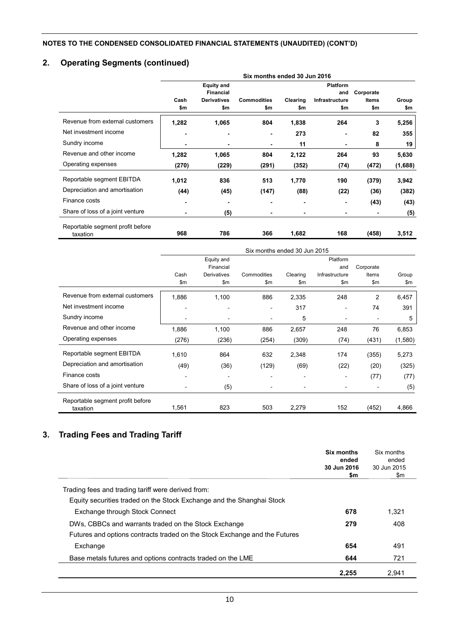# **2. Operating Segments (continued)**

|                                  | Six months ended 30 Jun 2016 |                    |                    |          |                 |              |         |
|----------------------------------|------------------------------|--------------------|--------------------|----------|-----------------|--------------|---------|
|                                  |                              | <b>Equity and</b>  |                    |          | <b>Platform</b> |              |         |
|                                  |                              | <b>Financial</b>   |                    |          | and             | Corporate    |         |
|                                  | Cash                         | <b>Derivatives</b> | <b>Commodities</b> | Clearing | Infrastructure  | <b>Items</b> | Group   |
|                                  | \$m                          | \$m                | \$m                | \$m      | \$m             | \$m          | \$m     |
| Revenue from external customers  | 1,282                        | 1,065              | 804                | 1,838    | 264             | 3            | 5,256   |
| Net investment income            | ٠                            | -                  | $\blacksquare$     | 273      |                 | 82           | 355     |
| Sundry income                    | ٠                            | -                  |                    | 11       | -               | 8            | 19      |
| Revenue and other income         | 1,282                        | 1,065              | 804                | 2,122    | 264             | 93           | 5,630   |
| Operating expenses               | (270)                        | (229)              | (291)              | (352)    | (74)            | (472)        | (1,688) |
| Reportable segment EBITDA        | 1,012                        | 836                | 513                | 1,770    | 190             | (379)        | 3,942   |
| Depreciation and amortisation    | (44)                         | (45)               | (147)              | (88)     | (22)            | (36)         | (382)   |
| Finance costs                    | ٠                            | -                  | $\blacksquare$     | ٠        |                 | (43)         | (43)    |
| Share of loss of a joint venture | ٠                            | (5)                | $\blacksquare$     | ٠        |                 |              | (5)     |
| Reportable segment profit before |                              |                    |                    |          |                 |              |         |
| taxation                         | 968                          | 786                | 366                | 1,682    | 168             | (458)        | 3,512   |

|                                              | Six months ended 30 Jun 2015 |             |             |                          |                |                              |         |
|----------------------------------------------|------------------------------|-------------|-------------|--------------------------|----------------|------------------------------|---------|
|                                              |                              | Equity and  |             |                          | Platform       |                              |         |
|                                              |                              | Financial   |             |                          | and            | Corporate                    |         |
|                                              | Cash                         | Derivatives | Commodities | Clearing                 | Infrastructure | Items                        | Group   |
|                                              | \$m                          | \$m         | \$m         | \$m                      | \$m            | \$m                          | \$m     |
| Revenue from external customers              | 1,886                        | 1,100       | 886         | 2,335                    | 248            | $\overline{2}$               | 6,457   |
| Net investment income                        |                              |             | ٠           | 317                      |                | 74                           | 391     |
| Sundry income                                |                              |             | ٠           | 5                        |                |                              | 5       |
| Revenue and other income                     | 1,886                        | 1,100       | 886         | 2,657                    | 248            | 76                           | 6,853   |
| Operating expenses                           | (276)                        | (236)       | (254)       | (309)                    | (74)           | (431)                        | (1,580) |
| Reportable segment EBITDA                    | 1,610                        | 864         | 632         | 2,348                    | 174            | (355)                        | 5,273   |
| Depreciation and amortisation                | (49)                         | (36)        | (129)       | (69)                     | (22)           | (20)                         | (325)   |
| Finance costs                                |                              |             |             |                          |                | (77)                         | (77)    |
| Share of loss of a joint venture             | $\qquad \qquad \blacksquare$ | (5)         | ۰           | $\overline{\phantom{a}}$ |                | $\qquad \qquad \blacksquare$ | (5)     |
| Reportable segment profit before<br>taxation | 1,561                        | 823         | 503         | 2,279                    | 152            | (452)                        | 4,866   |

# **3. Trading Fees and Trading Tariff**

|                                                                            | Six months<br>ended<br>30 Jun 2016<br>\$m | Six months<br>ended<br>30 Jun 2015<br>\$m |
|----------------------------------------------------------------------------|-------------------------------------------|-------------------------------------------|
| Trading fees and trading tariff were derived from:                         |                                           |                                           |
| Equity securities traded on the Stock Exchange and the Shanghai Stock      |                                           |                                           |
| Exchange through Stock Connect                                             | 678                                       | 1,321                                     |
| DWs, CBBCs and warrants traded on the Stock Exchange                       | 279                                       | 408                                       |
| Futures and options contracts traded on the Stock Exchange and the Futures |                                           |                                           |
| Exchange                                                                   | 654                                       | 491                                       |
| Base metals futures and options contracts traded on the LME                | 644                                       | 721                                       |
|                                                                            | 2,255                                     | 2,941                                     |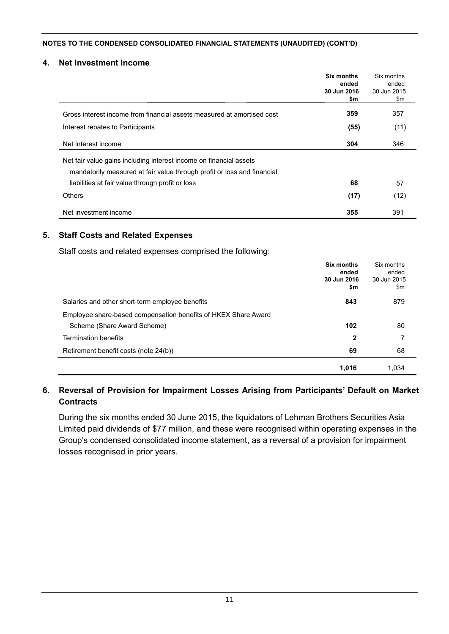#### **4. Net Investment Income**

|                                                                         | Six months<br>ended<br>30 Jun 2016<br>\$m | Six months<br>ended<br>30 Jun 2015<br>\$m |
|-------------------------------------------------------------------------|-------------------------------------------|-------------------------------------------|
|                                                                         |                                           |                                           |
| Gross interest income from financial assets measured at amortised cost  | 359                                       | 357                                       |
| Interest rebates to Participants                                        | (55)                                      | (11)                                      |
| Net interest income                                                     | 304                                       | 346                                       |
| Net fair value gains including interest income on financial assets      |                                           |                                           |
| mandatorily measured at fair value through profit or loss and financial |                                           |                                           |
| liabilities at fair value through profit or loss                        | 68                                        | 57                                        |
| <b>Others</b>                                                           | (17)                                      | (12)                                      |
| Net investment income                                                   | 355                                       | 391                                       |

### **5. Staff Costs and Related Expenses**

Staff costs and related expenses comprised the following:

|                                                                | Six months<br>ended<br>30 Jun 2016<br>\$m | Six months<br>ended<br>30 Jun 2015<br>\$m |
|----------------------------------------------------------------|-------------------------------------------|-------------------------------------------|
| Salaries and other short-term employee benefits                | 843                                       | 879                                       |
| Employee share-based compensation benefits of HKEX Share Award |                                           |                                           |
| Scheme (Share Award Scheme)                                    | 102                                       | 80                                        |
| <b>Termination benefits</b>                                    | $\mathbf{2}$                              | 7                                         |
| Retirement benefit costs (note 24(b))                          | 69                                        | 68                                        |
|                                                                | 1,016                                     | 1.034                                     |

## **6. Reversal of Provision for Impairment Losses Arising from Participants' Default on Market Contracts**

During the six months ended 30 June 2015, the liquidators of Lehman Brothers Securities Asia Limited paid dividends of \$77 million, and these were recognised within operating expenses in the Group's condensed consolidated income statement, as a reversal of a provision for impairment losses recognised in prior years.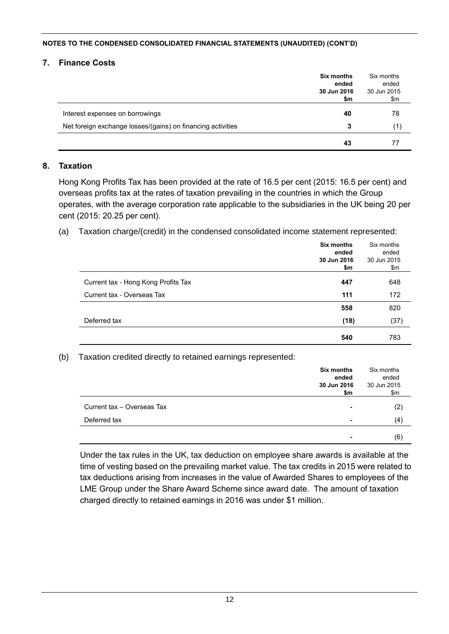#### **7. Finance Costs**

|                                                             | <b>Six months</b><br>ended<br>30 Jun 2016<br>\$m | Six months<br>ended<br>30 Jun 2015<br>\$m |
|-------------------------------------------------------------|--------------------------------------------------|-------------------------------------------|
| Interest expenses on borrowings                             | 40                                               | 78                                        |
| Net foreign exchange losses/(gains) on financing activities | 3                                                | (1)                                       |
|                                                             | 43                                               |                                           |

### **8. Taxation**

Hong Kong Profits Tax has been provided at the rate of 16.5 per cent (2015: 16.5 per cent) and overseas profits tax at the rates of taxation prevailing in the countries in which the Group operates, with the average corporation rate applicable to the subsidiaries in the UK being 20 per cent (2015: 20.25 per cent).

(a) Taxation charge/(credit) in the condensed consolidated income statement represented:

|                                     | Six months<br>ended<br>30 Jun 2016<br>\$m | Six months<br>ended<br>30 Jun 2015<br>\$m |
|-------------------------------------|-------------------------------------------|-------------------------------------------|
| Current tax - Hong Kong Profits Tax | 447                                       | 648                                       |
| Current tax - Overseas Tax          | 111                                       | 172                                       |
|                                     | 558                                       | 820                                       |
| Deferred tax                        | (18)                                      | (37)                                      |
|                                     | 540                                       | 783                                       |

(b) Taxation credited directly to retained earnings represented:

|                            | Six months<br>ended<br>30 Jun 2016<br>\$m | Six months<br>ended<br>30 Jun 2015<br>\$m |
|----------------------------|-------------------------------------------|-------------------------------------------|
| Current tax - Overseas Tax | $\blacksquare$                            | (2)                                       |
| Deferred tax               | $\blacksquare$                            | (4)                                       |
|                            | $\blacksquare$                            | (6)                                       |

Under the tax rules in the UK, tax deduction on employee share awards is available at the time of vesting based on the prevailing market value. The tax credits in 2015 were related to tax deductions arising from increases in the value of Awarded Shares to employees of the LME Group under the Share Award Scheme since award date. The amount of taxation charged directly to retained earnings in 2016 was under \$1 million.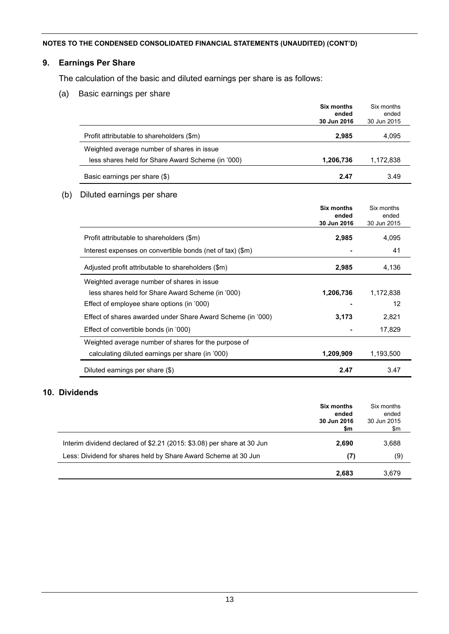### **9. Earnings Per Share**

The calculation of the basic and diluted earnings per share is as follows:

(a) Basic earnings per share

|                                                   | <b>Six months</b><br>ended<br>30 Jun 2016 | Six months<br>ended<br>30 Jun 2015 |
|---------------------------------------------------|-------------------------------------------|------------------------------------|
| Profit attributable to shareholders (\$m)         | 2,985                                     | 4,095                              |
| Weighted average number of shares in issue        |                                           |                                    |
| less shares held for Share Award Scheme (in '000) | 1,206,736                                 | 1,172,838                          |
| Basic earnings per share (\$)                     | 2.47                                      | 3.49                               |

### (b) Diluted earnings per share

|                                                             | Six months<br>ended<br>30 Jun 2016 | Six months<br>ended<br>30 Jun 2015 |
|-------------------------------------------------------------|------------------------------------|------------------------------------|
| Profit attributable to shareholders (\$m)                   | 2,985                              | 4,095                              |
| Interest expenses on convertible bonds (net of tax) (\$m)   |                                    | 41                                 |
| Adjusted profit attributable to shareholders (\$m)          | 2,985                              | 4,136                              |
| Weighted average number of shares in issue                  |                                    |                                    |
| less shares held for Share Award Scheme (in '000)           | 1,206,736                          | 1,172,838                          |
| Effect of employee share options (in '000)                  |                                    | 12                                 |
| Effect of shares awarded under Share Award Scheme (in '000) | 3,173                              | 2,821                              |
| Effect of convertible bonds (in '000)                       |                                    | 17,829                             |
| Weighted average number of shares for the purpose of        |                                    |                                    |
| calculating diluted earnings per share (in '000)            | 1,209,909                          | 1,193,500                          |
| Diluted earnings per share (\$)                             | 2.47                               | 3.47                               |

# **10. Dividends**

|                                                                        | Six months<br>ended<br>30 Jun 2016<br>\$m | Six months<br>ended<br>30 Jun 2015<br>\$m |
|------------------------------------------------------------------------|-------------------------------------------|-------------------------------------------|
| Interim dividend declared of \$2.21 (2015: \$3.08) per share at 30 Jun | 2.690                                     | 3,688                                     |
| Less: Dividend for shares held by Share Award Scheme at 30 Jun         | (7)                                       | (9)                                       |
|                                                                        | 2.683                                     | 3.679                                     |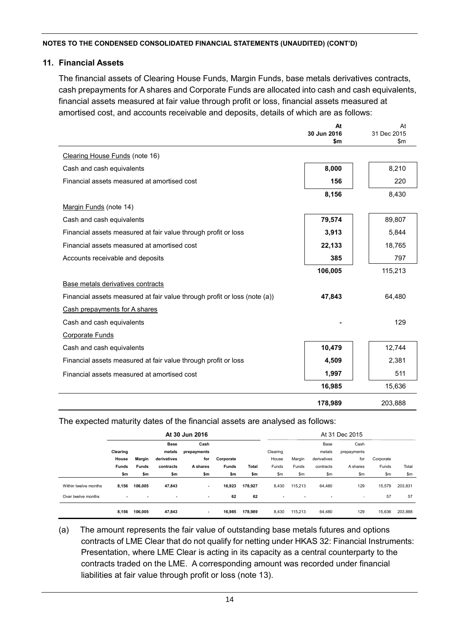#### **11. Financial Assets**

The financial assets of Clearing House Funds, Margin Funds, base metals derivatives contracts, cash prepayments for A shares and Corporate Funds are allocated into cash and cash equivalents, financial assets measured at fair value through profit or loss, financial assets measured at amortised cost, and accounts receivable and deposits, details of which are as follows:

|                                                                           | At<br>30 Jun 2016 | At<br>31 Dec 2015 |
|---------------------------------------------------------------------------|-------------------|-------------------|
|                                                                           | \$m               | \$m               |
| Clearing House Funds (note 16)                                            |                   |                   |
| Cash and cash equivalents                                                 | 8,000             | 8,210             |
| Financial assets measured at amortised cost                               | 156               | 220               |
|                                                                           | 8,156             | 8,430             |
| Margin Funds (note 14)                                                    |                   |                   |
| Cash and cash equivalents                                                 | 79,574            | 89,807            |
| Financial assets measured at fair value through profit or loss            | 3,913             | 5,844             |
| Financial assets measured at amortised cost                               | 22,133            | 18,765            |
| Accounts receivable and deposits                                          | 385               | 797               |
|                                                                           | 106,005           | 115,213           |
| Base metals derivatives contracts                                         |                   |                   |
| Financial assets measured at fair value through profit or loss (note (a)) | 47,843            | 64,480            |
| Cash prepayments for A shares                                             |                   |                   |
| Cash and cash equivalents                                                 |                   | 129               |
| <b>Corporate Funds</b>                                                    |                   |                   |
| Cash and cash equivalents                                                 | 10,479            | 12,744            |
| Financial assets measured at fair value through profit or loss            | 4,509             | 2,381             |
| Financial assets measured at amortised cost                               | 1,997             | 511               |
|                                                                           | 16,985            | 15,636            |
|                                                                           | 178,989           | 203,888           |

The expected maturity dates of the financial assets are analysed as follows:

|                      |                |                          |                          | At 30 Jun 2016 |              |         |                          |                |                | At 31 Dec 2015           |           |         |
|----------------------|----------------|--------------------------|--------------------------|----------------|--------------|---------|--------------------------|----------------|----------------|--------------------------|-----------|---------|
|                      |                |                          | <b>Base</b>              | Cash           |              |         |                          |                | Base           | Cash                     |           |         |
|                      | Clearing       |                          | metals                   | prepayments    |              |         | Clearing                 |                | metals         | prepayments              |           |         |
|                      | House          | <b>Margin</b>            | derivatives              | for            | Corporate    |         | House                    | Margin         | derivatives    | for                      | Corporate |         |
|                      | <b>Funds</b>   | <b>Funds</b>             | contracts                | A shares       | <b>Funds</b> | Total   | Funds                    | Funds          | contracts      | A shares                 | Funds     | Total   |
|                      | \$m            | \$m                      | \$m                      | \$m            | \$m          | \$m     | \$m                      | \$m\$          | \$m\$          | \$m                      | \$m       | \$m     |
| Within twelve months | 8,156          | 106.005                  | 47,843                   | ٠              | 16,923       | 178.927 | 8,430                    | 115.213        | 64,480         | 129                      | 15,579    | 203,831 |
| Over twelve months   | $\blacksquare$ | $\overline{\phantom{a}}$ | $\overline{\phantom{a}}$ | $\blacksquare$ | 62           | 62      | $\overline{\phantom{a}}$ | $\blacksquare$ | $\blacksquare$ | $\overline{\phantom{a}}$ | 57        | 57      |
|                      | 8,156          | 106,005                  | 47,843                   | $\blacksquare$ | 16,985       | 178.989 | 8,430                    | 115,213        | 64,480         | 129                      | 15,636    | 203,888 |

(a) The amount represents the fair value of outstanding base metals futures and options contracts of LME Clear that do not qualify for netting under HKAS 32: Financial Instruments: Presentation, where LME Clear is acting in its capacity as a central counterparty to the contracts traded on the LME. A corresponding amount was recorded under financial liabilities at fair value through profit or loss (note 13).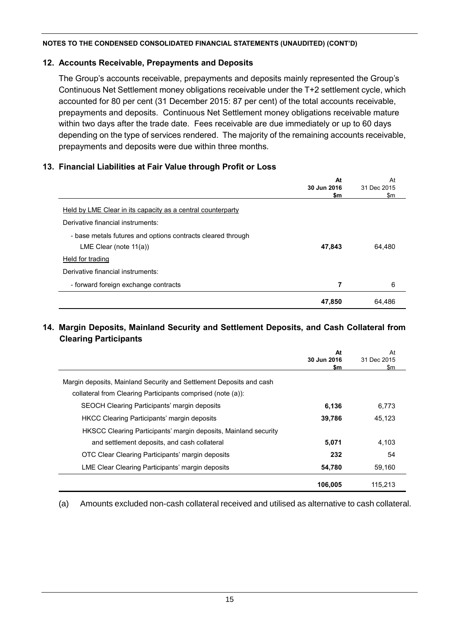## **12. Accounts Receivable, Prepayments and Deposits**

The Group's accounts receivable, prepayments and deposits mainly represented the Group's Continuous Net Settlement money obligations receivable under the T+2 settlement cycle, which accounted for 80 per cent (31 December 2015: 87 per cent) of the total accounts receivable, prepayments and deposits. Continuous Net Settlement money obligations receivable mature within two days after the trade date. Fees receivable are due immediately or up to 60 days depending on the type of services rendered. The majority of the remaining accounts receivable, prepayments and deposits were due within three months.

# **13. Financial Liabilities at Fair Value through Profit or Loss**

|                                                             | At          | At          |
|-------------------------------------------------------------|-------------|-------------|
|                                                             | 30 Jun 2016 | 31 Dec 2015 |
|                                                             | \$m         | \$m         |
| Held by LME Clear in its capacity as a central counterparty |             |             |
| Derivative financial instruments:                           |             |             |
| - base metals futures and options contracts cleared through |             |             |
| LME Clear (note $11(a)$ )                                   | 47,843      | 64,480      |
| Held for trading                                            |             |             |
| Derivative financial instruments:                           |             |             |
| - forward foreign exchange contracts                        | 7           | 6           |
|                                                             | 47,850      | 64.486      |

## **14. Margin Deposits, Mainland Security and Settlement Deposits, and Cash Collateral from Clearing Participants**

|                                                                     | At<br>30 Jun 2016<br>\$m | At<br>31 Dec 2015<br>\$m |
|---------------------------------------------------------------------|--------------------------|--------------------------|
| Margin deposits, Mainland Security and Settlement Deposits and cash |                          |                          |
| collateral from Clearing Participants comprised (note (a)):         |                          |                          |
| SEOCH Clearing Participants' margin deposits                        | 6,136                    | 6.773                    |
| <b>HKCC Clearing Participants' margin deposits</b>                  | 39,786                   | 45,123                   |
| HKSCC Clearing Participants' margin deposits, Mainland security     |                          |                          |
| and settlement deposits, and cash collateral                        | 5,071                    | 4.103                    |
| OTC Clear Clearing Participants' margin deposits                    | 232                      | 54                       |
| LME Clear Clearing Participants' margin deposits                    | 54,780                   | 59,160                   |
|                                                                     | 106.005                  | 115.213                  |

(a) Amounts excluded non-cash collateral received and utilised as alternative to cash collateral.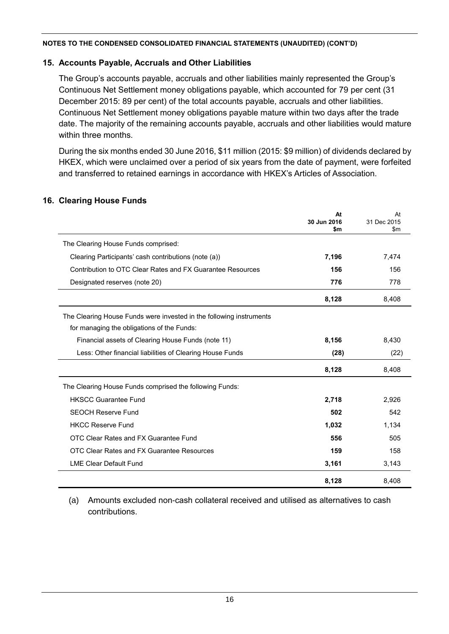### **15. Accounts Payable, Accruals and Other Liabilities**

The Group's accounts payable, accruals and other liabilities mainly represented the Group's Continuous Net Settlement money obligations payable, which accounted for 79 per cent (31 December 2015: 89 per cent) of the total accounts payable, accruals and other liabilities. Continuous Net Settlement money obligations payable mature within two days after the trade date. The majority of the remaining accounts payable, accruals and other liabilities would mature within three months.

During the six months ended 30 June 2016, \$11 million (2015: \$9 million) of dividends declared by HKEX, which were unclaimed over a period of six years from the date of payment, were forfeited and transferred to retained earnings in accordance with HKEX's Articles of Association.

### **16. Clearing House Funds**

|                                                                     | At<br>30 Jun 2016<br>\$m | At<br>31 Dec 2015<br>$\mathsf{sm}$ |
|---------------------------------------------------------------------|--------------------------|------------------------------------|
| The Clearing House Funds comprised:                                 |                          |                                    |
| Clearing Participants' cash contributions (note (a))                | 7,196                    | 7,474                              |
| Contribution to OTC Clear Rates and FX Guarantee Resources          | 156                      | 156                                |
| Designated reserves (note 20)                                       | 776                      | 778                                |
|                                                                     | 8,128                    | 8,408                              |
| The Clearing House Funds were invested in the following instruments |                          |                                    |
| for managing the obligations of the Funds:                          |                          |                                    |
| Financial assets of Clearing House Funds (note 11)                  | 8,156                    | 8,430                              |
| Less: Other financial liabilities of Clearing House Funds           | (28)                     | (22)                               |
|                                                                     | 8,128                    | 8,408                              |
| The Clearing House Funds comprised the following Funds:             |                          |                                    |
| <b>HKSCC Guarantee Fund</b>                                         | 2,718                    | 2,926                              |
| <b>SEOCH Reserve Fund</b>                                           | 502                      | 542                                |
| <b>HKCC Reserve Fund</b>                                            | 1,032                    | 1,134                              |
| OTC Clear Rates and FX Guarantee Fund                               | 556                      | 505                                |
| OTC Clear Rates and FX Guarantee Resources                          | 159                      | 158                                |
| <b>LME Clear Default Fund</b>                                       | 3,161                    | 3,143                              |
|                                                                     | 8,128                    | 8,408                              |

(a) Amounts excluded non-cash collateral received and utilised as alternatives to cash contributions.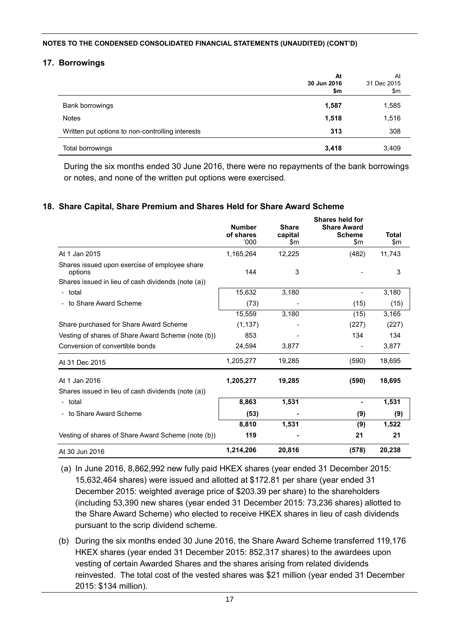#### **17. Borrowings**

|                                                  | At<br>30 Jun 2016<br>\$m | At<br>31 Dec 2015<br>\$m |
|--------------------------------------------------|--------------------------|--------------------------|
| Bank borrowings                                  | 1,587                    | 1,585                    |
| <b>Notes</b>                                     | 1,518                    | 1,516                    |
| Written put options to non-controlling interests | 313                      | 308                      |
| Total borrowings                                 | 3,418                    | 3,409                    |

During the six months ended 30 June 2016, there were no repayments of the bank borrowings or notes, and none of the written put options were exercised.

#### **18. Share Capital, Share Premium and Shares Held for Share Award Scheme**

|                                                          | <b>Number</b><br>of shares<br>000' | <b>Share</b><br>capital<br>\$m | Shares held for<br><b>Share Award</b><br><b>Scheme</b><br>$\mathsf{Sm}$ | <b>Total</b><br>$\mathsf{m}$ |
|----------------------------------------------------------|------------------------------------|--------------------------------|-------------------------------------------------------------------------|------------------------------|
| At 1 Jan 2015                                            | 1,165,264                          | 12,225                         | (482)                                                                   | 11,743                       |
| Shares issued upon exercise of employee share<br>options | 144                                | 3                              |                                                                         | 3                            |
| Shares issued in lieu of cash dividends (note (a))       |                                    |                                |                                                                         |                              |
| - total                                                  | 15,632                             | 3,180                          |                                                                         | 3,180                        |
| - to Share Award Scheme                                  | (73)                               |                                | (15)                                                                    | (15)                         |
|                                                          | 15,559                             | 3,180                          | (15)                                                                    | 3,165                        |
| Share purchased for Share Award Scheme                   | (1, 137)                           |                                | (227)                                                                   | (227)                        |
| Vesting of shares of Share Award Scheme (note (b))       | 853                                |                                | 134                                                                     | 134                          |
| Conversion of convertible bonds                          | 24,594                             | 3,877                          |                                                                         | 3,877                        |
| At 31 Dec 2015                                           | 1,205,277                          | 19,285                         | (590)                                                                   | 18,695                       |
| At 1 Jan 2016                                            | 1,205,277                          | 19,285                         | (590)                                                                   | 18,695                       |
| Shares issued in lieu of cash dividends (note (a))       |                                    |                                |                                                                         |                              |
| - total                                                  | 8,863                              | 1,531                          | $\blacksquare$                                                          | 1,531                        |
| - to Share Award Scheme                                  | (53)                               |                                | (9)                                                                     | (9)                          |
|                                                          | 8,810                              | 1,531                          | (9)                                                                     | 1,522                        |
| Vesting of shares of Share Award Scheme (note (b))       | 119                                |                                | 21                                                                      | 21                           |
| At 30 Jun 2016                                           | 1,214,206                          | 20,816                         | (578)                                                                   | 20,238                       |

- (a) In June 2016, 8,862,992 new fully paid HKEX shares (year ended 31 December 2015: 15,632,464 shares) were issued and allotted at \$172.81 per share (year ended 31 December 2015: weighted average price of \$203.39 per share) to the shareholders (including 53,390 new shares (year ended 31 December 2015: 73,236 shares) allotted to the Share Award Scheme) who elected to receive HKEX shares in lieu of cash dividends pursuant to the scrip dividend scheme.
- (b) During the six months ended 30 June 2016, the Share Award Scheme transferred 119,176 HKEX shares (year ended 31 December 2015: 852,317 shares) to the awardees upon vesting of certain Awarded Shares and the shares arising from related dividends reinvested. The total cost of the vested shares was \$21 million (year ended 31 December 2015: \$134 million).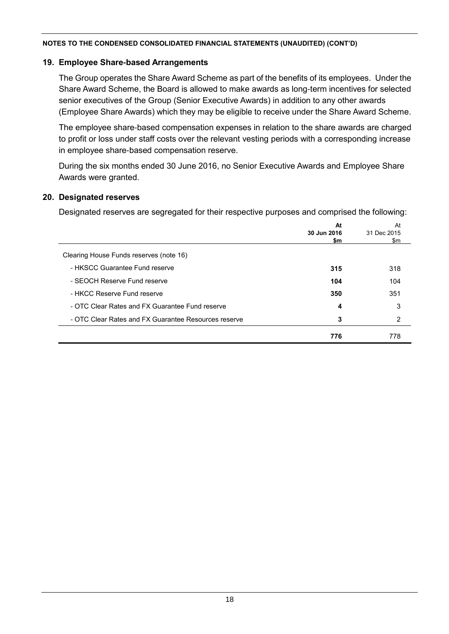#### **19. Employee Share-based Arrangements**

The Group operates the Share Award Scheme as part of the benefits of its employees. Under the Share Award Scheme, the Board is allowed to make awards as long-term incentives for selected senior executives of the Group (Senior Executive Awards) in addition to any other awards (Employee Share Awards) which they may be eligible to receive under the Share Award Scheme.

The employee share-based compensation expenses in relation to the share awards are charged to profit or loss under staff costs over the relevant vesting periods with a corresponding increase in employee share-based compensation reserve.

During the six months ended 30 June 2016, no Senior Executive Awards and Employee Share Awards were granted.

#### **20. Designated reserves**

Designated reserves are segregated for their respective purposes and comprised the following:

|                                                      | At          | At          |
|------------------------------------------------------|-------------|-------------|
|                                                      | 30 Jun 2016 | 31 Dec 2015 |
|                                                      | \$m         | \$m         |
| Clearing House Funds reserves (note 16)              |             |             |
| - HKSCC Guarantee Fund reserve                       | 315         | 318         |
| - SEOCH Reserve Fund reserve                         | 104         | 104         |
| - HKCC Reserve Fund reserve                          | 350         | 351         |
| - OTC Clear Rates and FX Guarantee Fund reserve      | 4           | 3           |
| - OTC Clear Rates and FX Guarantee Resources reserve | 3           | 2           |
|                                                      | 776         | 778         |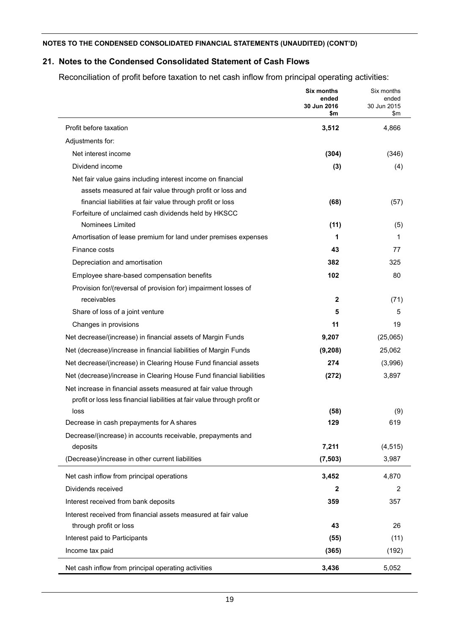# **21. Notes to the Condensed Consolidated Statement of Cash Flows**

Reconciliation of profit before taxation to net cash inflow from principal operating activities:

|                                                                           | Six months<br>ended<br>30 Jun 2016<br>\$m | Six months<br>ended<br>30 Jun 2015<br>\$m |
|---------------------------------------------------------------------------|-------------------------------------------|-------------------------------------------|
| Profit before taxation                                                    | 3,512                                     | 4,866                                     |
| Adjustments for:                                                          |                                           |                                           |
| Net interest income                                                       | (304)                                     | (346)                                     |
| Dividend income                                                           | (3)                                       | (4)                                       |
| Net fair value gains including interest income on financial               |                                           |                                           |
| assets measured at fair value through profit or loss and                  |                                           |                                           |
| financial liabilities at fair value through profit or loss                | (68)                                      | (57)                                      |
| Forfeiture of unclaimed cash dividends held by HKSCC                      |                                           |                                           |
| Nominees Limited                                                          | (11)                                      | (5)                                       |
| Amortisation of lease premium for land under premises expenses            | 1                                         | 1                                         |
| Finance costs                                                             | 43                                        | 77                                        |
| Depreciation and amortisation                                             | 382                                       | 325                                       |
| Employee share-based compensation benefits                                | 102                                       | 80                                        |
| Provision for/(reversal of provision for) impairment losses of            |                                           |                                           |
| receivables                                                               | 2                                         | (71)                                      |
| Share of loss of a joint venture                                          | 5                                         | 5                                         |
| Changes in provisions                                                     | 11                                        | 19                                        |
| Net decrease/(increase) in financial assets of Margin Funds               | 9,207                                     | (25,065)                                  |
| Net (decrease)/increase in financial liabilities of Margin Funds          | (9, 208)                                  | 25,062                                    |
| Net decrease/(increase) in Clearing House Fund financial assets           | 274                                       | (3,996)                                   |
| Net (decrease)/increase in Clearing House Fund financial liabilities      | (272)                                     | 3,897                                     |
| Net increase in financial assets measured at fair value through           |                                           |                                           |
| profit or loss less financial liabilities at fair value through profit or |                                           |                                           |
| loss                                                                      | (58)                                      | (9)                                       |
| Decrease in cash prepayments for A shares                                 | 129                                       | 619                                       |
| Decrease/(increase) in accounts receivable, prepayments and               |                                           |                                           |
| deposits                                                                  | 7,211                                     | (4, 515)                                  |
| (Decrease)/increase in other current liabilities                          | (7, 503)                                  | 3,987                                     |
| Net cash inflow from principal operations                                 | 3,452                                     | 4,870                                     |
| Dividends received                                                        | $\mathbf{2}$                              | 2                                         |
| Interest received from bank deposits                                      | 359                                       | 357                                       |
| Interest received from financial assets measured at fair value            |                                           |                                           |
| through profit or loss                                                    | 43                                        | 26                                        |
| Interest paid to Participants                                             | (55)                                      | (11)                                      |
| Income tax paid                                                           | (365)                                     | (192)                                     |
| Net cash inflow from principal operating activities                       | 3,436                                     | 5,052                                     |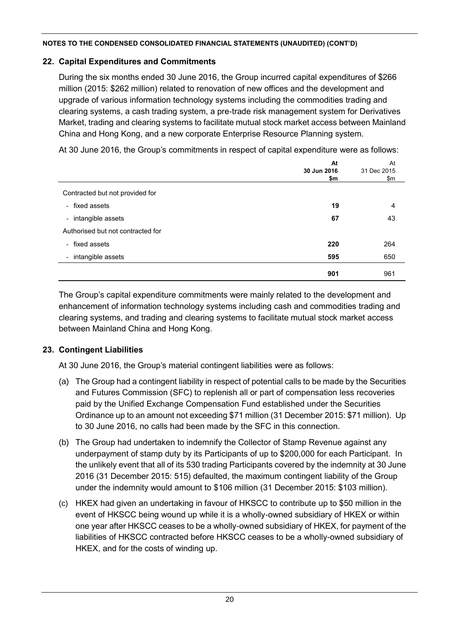# **22. Capital Expenditures and Commitments**

During the six months ended 30 June 2016, the Group incurred capital expenditures of \$266 million (2015: \$262 million) related to renovation of new offices and the development and upgrade of various information technology systems including the commodities trading and clearing systems, a cash trading system, a pre-trade risk management system for Derivatives Market, trading and clearing systems to facilitate mutual stock market access between Mainland China and Hong Kong, and a new corporate Enterprise Resource Planning system.

At 30 June 2016, the Group's commitments in respect of capital expenditure were as follows:

|                                               | At<br>30 Jun 2016<br>\$m | At<br>31 Dec 2015<br>\$m |
|-----------------------------------------------|--------------------------|--------------------------|
| Contracted but not provided for               |                          |                          |
| - fixed assets                                | 19                       | 4                        |
| - intangible assets                           | 67                       | 43                       |
| Authorised but not contracted for             |                          |                          |
| - fixed assets                                | 220                      | 264                      |
| intangible assets<br>$\overline{\phantom{a}}$ | 595                      | 650                      |
|                                               | 901                      | 961                      |

The Group's capital expenditure commitments were mainly related to the development and enhancement of information technology systems including cash and commodities trading and clearing systems, and trading and clearing systems to facilitate mutual stock market access between Mainland China and Hong Kong.

# **23. Contingent Liabilities**

At 30 June 2016, the Group's material contingent liabilities were as follows:

- (a) The Group had a contingent liability in respect of potential calls to be made by the Securities and Futures Commission (SFC) to replenish all or part of compensation less recoveries paid by the Unified Exchange Compensation Fund established under the Securities Ordinance up to an amount not exceeding \$71 million (31 December 2015: \$71 million). Up to 30 June 2016, no calls had been made by the SFC in this connection.
- (b) The Group had undertaken to indemnify the Collector of Stamp Revenue against any underpayment of stamp duty by its Participants of up to \$200,000 for each Participant. In the unlikely event that all of its 530 trading Participants covered by the indemnity at 30 June 2016 (31 December 2015: 515) defaulted, the maximum contingent liability of the Group under the indemnity would amount to \$106 million (31 December 2015: \$103 million).
- (c) HKEX had given an undertaking in favour of HKSCC to contribute up to \$50 million in the event of HKSCC being wound up while it is a wholly-owned subsidiary of HKEX or within one year after HKSCC ceases to be a wholly-owned subsidiary of HKEX, for payment of the liabilities of HKSCC contracted before HKSCC ceases to be a wholly-owned subsidiary of HKEX, and for the costs of winding up.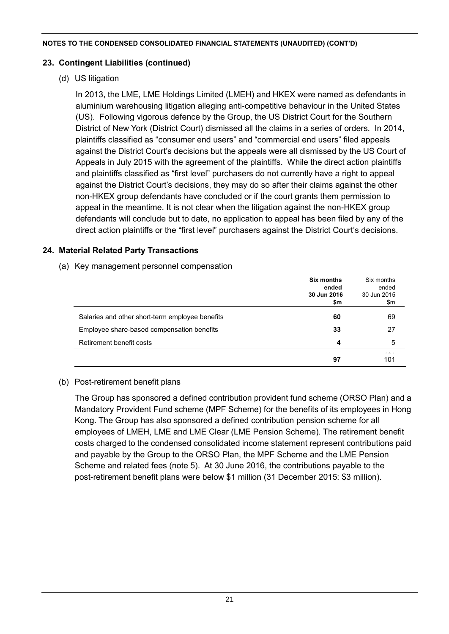### **23. Contingent Liabilities (continued)**

# (d) US litigation

In 2013, the LME, LME Holdings Limited (LMEH) and HKEX were named as defendants in aluminium warehousing litigation alleging anti-competitive behaviour in the United States (US). Following vigorous defence by the Group, the US District Court for the Southern District of New York (District Court) dismissed all the claims in a series of orders. In 2014, plaintiffs classified as "consumer end users" and "commercial end users" filed appeals against the District Court's decisions but the appeals were all dismissed by the US Court of Appeals in July 2015 with the agreement of the plaintiffs. While the direct action plaintiffs and plaintiffs classified as "first level" purchasers do not currently have a right to appeal against the District Court's decisions, they may do so after their claims against the other non-HKEX group defendants have concluded or if the court grants them permission to appeal in the meantime. It is not clear when the litigation against the non-HKEX group defendants will conclude but to date, no application to appeal has been filed by any of the direct action plaintiffs or the "first level" purchasers against the District Court's decisions.

# **24. Material Related Party Transactions**

(a) Key management personnel compensation

|                                                 | Six months<br>ended<br>30 Jun 2016<br>\$m | Six months<br>ended<br>30 Jun 2015<br>\$m |
|-------------------------------------------------|-------------------------------------------|-------------------------------------------|
| Salaries and other short-term employee benefits | 60                                        | 69                                        |
| Employee share-based compensation benefits      | 33                                        | 27                                        |
| Retirement benefit costs                        | 4                                         | 5                                         |
|                                                 | 97                                        | 101                                       |

# (b) Post-retirement benefit plans

The Group has sponsored a defined contribution provident fund scheme (ORSO Plan) and a Mandatory Provident Fund scheme (MPF Scheme) for the benefits of its employees in Hong Kong. The Group has also sponsored a defined contribution pension scheme for all employees of LMEH, LME and LME Clear (LME Pension Scheme). The retirement benefit costs charged to the condensed consolidated income statement represent contributions paid and payable by the Group to the ORSO Plan, the MPF Scheme and the LME Pension Scheme and related fees (note 5). At 30 June 2016, the contributions payable to the post-retirement benefit plans were below \$1 million (31 December 2015: \$3 million).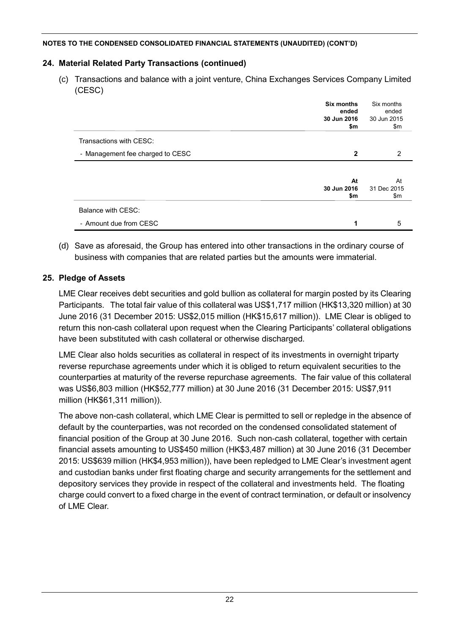# **24. Material Related Party Transactions (continued)**

(c) Transactions and balance with a joint venture, China Exchanges Services Company Limited (CESC)

|                                  | Six months<br>ended<br>30 Jun 2016<br>\$m | Six months<br>ended<br>30 Jun 2015<br>\$m |
|----------------------------------|-------------------------------------------|-------------------------------------------|
| Transactions with CESC:          |                                           |                                           |
| - Management fee charged to CESC | $\mathbf{2}$                              | 2                                         |
|                                  |                                           |                                           |
|                                  | At                                        | At                                        |
|                                  | 30 Jun 2016                               | 31 Dec 2015                               |
|                                  | \$m                                       | \$m                                       |
| Balance with CESC:               |                                           |                                           |
| - Amount due from CESC           | 1                                         | 5                                         |

(d) Save as aforesaid, the Group has entered into other transactions in the ordinary course of business with companies that are related parties but the amounts were immaterial.

# **25. Pledge of Assets**

LME Clear receives debt securities and gold bullion as collateral for margin posted by its Clearing Participants. The total fair value of this collateral was US\$1,717 million (HK\$13,320 million) at 30 June 2016 (31 December 2015: US\$2,015 million (HK\$15,617 million)). LME Clear is obliged to return this non-cash collateral upon request when the Clearing Participants' collateral obligations have been substituted with cash collateral or otherwise discharged.

LME Clear also holds securities as collateral in respect of its investments in overnight triparty reverse repurchase agreements under which it is obliged to return equivalent securities to the counterparties at maturity of the reverse repurchase agreements. The fair value of this collateral was US\$6,803 million (HK\$52,777 million) at 30 June 2016 (31 December 2015: US\$7,911 million (HK\$61,311 million)).

The above non-cash collateral, which LME Clear is permitted to sell or repledge in the absence of default by the counterparties, was not recorded on the condensed consolidated statement of financial position of the Group at 30 June 2016. Such non-cash collateral, together with certain financial assets amounting to US\$450 million (HK\$3,487 million) at 30 June 2016 (31 December 2015: US\$639 million (HK\$4,953 million)), have been repledged to LME Clear's investment agent and custodian banks under first floating charge and security arrangements for the settlement and depository services they provide in respect of the collateral and investments held. The floating charge could convert to a fixed charge in the event of contract termination, or default or insolvency of LME Clear.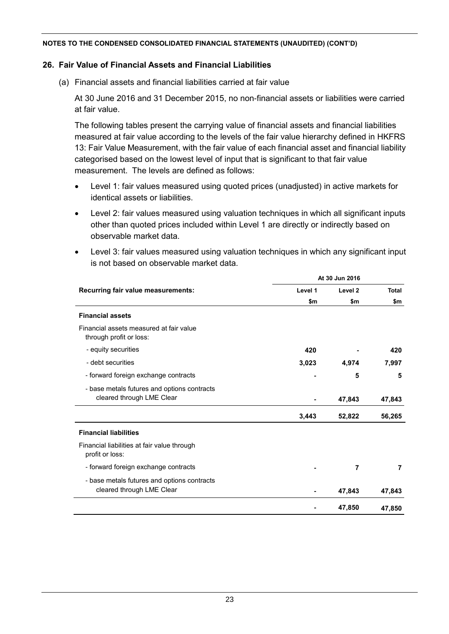#### **26. Fair Value of Financial Assets and Financial Liabilities**

(a) Financial assets and financial liabilities carried at fair value

At 30 June 2016 and 31 December 2015, no non-financial assets or liabilities were carried at fair value.

The following tables present the carrying value of financial assets and financial liabilities measured at fair value according to the levels of the fair value hierarchy defined in HKFRS 13: Fair Value Measurement, with the fair value of each financial asset and financial liability categorised based on the lowest level of input that is significant to that fair value measurement. The levels are defined as follows:

- Level 1: fair values measured using quoted prices (unadjusted) in active markets for identical assets or liabilities.
- Level 2: fair values measured using valuation techniques in which all significant inputs other than quoted prices included within Level 1 are directly or indirectly based on observable market data.
- Level 3: fair values measured using valuation techniques in which any significant input is not based on observable market data.

|                                                                          | At 30 Jun 2016 |                    |              |
|--------------------------------------------------------------------------|----------------|--------------------|--------------|
| Recurring fair value measurements:                                       | Level 1        | Level <sub>2</sub> | <b>Total</b> |
|                                                                          | \$m            | \$m                | \$m          |
| <b>Financial assets</b>                                                  |                |                    |              |
| Financial assets measured at fair value<br>through profit or loss:       |                |                    |              |
| - equity securities                                                      | 420            |                    | 420          |
| - debt securities                                                        | 3,023          | 4,974              | 7,997        |
| - forward foreign exchange contracts                                     |                | 5                  | 5            |
| - base metals futures and options contracts<br>cleared through LME Clear |                | 47,843             | 47,843       |
|                                                                          | 3,443          | 52,822             | 56,265       |
| <b>Financial liabilities</b>                                             |                |                    |              |
| Financial liabilities at fair value through<br>profit or loss:           |                |                    |              |
| - forward foreign exchange contracts                                     |                | 7                  | 7            |
| - base metals futures and options contracts<br>cleared through LME Clear |                | 47,843             | 47,843       |
|                                                                          |                | 47,850             | 47,850       |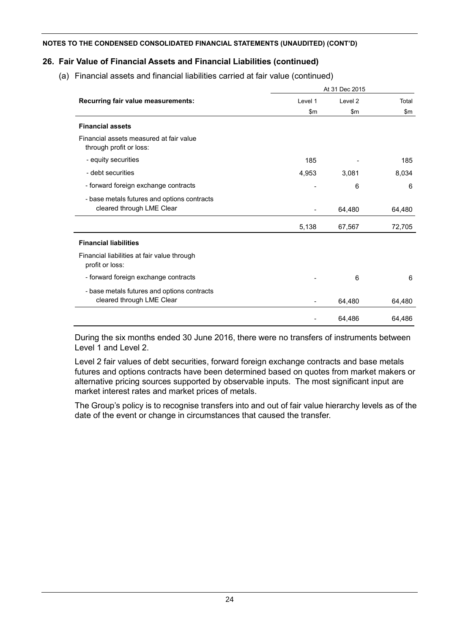# **26. Fair Value of Financial Assets and Financial Liabilities (continued)**

(a) Financial assets and financial liabilities carried at fair value (continued)

|                                                                    | At 31 Dec 2015 |                    |        |
|--------------------------------------------------------------------|----------------|--------------------|--------|
| Recurring fair value measurements:                                 | Level 1        | Level <sub>2</sub> | Total  |
|                                                                    | $\mathsf{Sm}$  | $\mathsf{Sm}$      | \$m\$  |
| <b>Financial assets</b>                                            |                |                    |        |
| Financial assets measured at fair value<br>through profit or loss: |                |                    |        |
| - equity securities                                                | 185            |                    | 185    |
| - debt securities                                                  | 4,953          | 3,081              | 8,034  |
| - forward foreign exchange contracts                               |                | 6                  | 6      |
| - base metals futures and options contracts                        |                |                    |        |
| cleared through LME Clear                                          |                | 64,480             | 64,480 |
|                                                                    | 5,138          | 67,567             | 72,705 |
| <b>Financial liabilities</b>                                       |                |                    |        |
| Financial liabilities at fair value through<br>profit or loss:     |                |                    |        |
| - forward foreign exchange contracts                               |                | 6                  | 6      |
| - base metals futures and options contracts                        |                |                    |        |
| cleared through LME Clear                                          |                | 64,480             | 64,480 |
|                                                                    |                | 64,486             | 64,486 |

During the six months ended 30 June 2016, there were no transfers of instruments between Level 1 and Level 2.

Level 2 fair values of debt securities, forward foreign exchange contracts and base metals futures and options contracts have been determined based on quotes from market makers or alternative pricing sources supported by observable inputs. The most significant input are market interest rates and market prices of metals.

The Group's policy is to recognise transfers into and out of fair value hierarchy levels as of the date of the event or change in circumstances that caused the transfer.